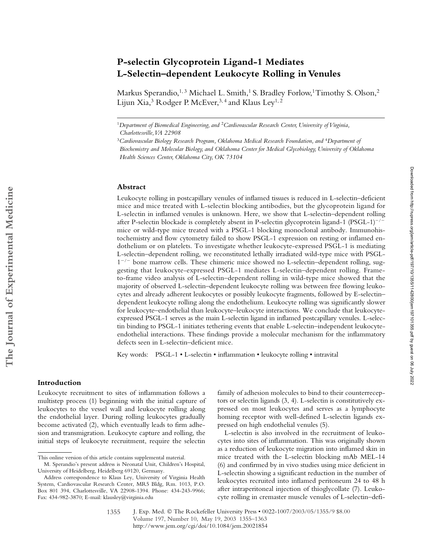# **P-selectin Glycoprotein Ligand-1 Mediates L-Selectin–dependent Leukocyte Rolling in Venules**

Markus Sperandio,<sup>1, 3</sup> Michael L. Smith,<sup>1</sup> S. Bradley Forlow,<sup>1</sup> Timothy S. Olson,<sup>2</sup> Lijun Xia,<sup>3</sup> Rodger P. McEver,<sup>3,4</sup> and Klaus Ley<sup>1,2</sup>

<sup>1</sup>*Department of Biomedical Engineering, and* <sup>2</sup>*Cardiovascular Research Center, University of Virginia, Charlottesville, VA 22908*

#### **Abstract**

Leukocyte rolling in postcapillary venules of inflamed tissues is reduced in L-selectin–deficient mice and mice treated with L-selectin blocking antibodies, but the glycoprotein ligand for L-selectin in inflamed venules is unknown. Here, we show that L-selectin–dependent rolling after P-selectin blockade is completely absent in P-selectin glycoprotein ligand-1 (PSGL-1)<sup>-/-</sup> mice or wild-type mice treated with a PSGL-1 blocking monoclonal antibody. Immunohistochemistry and flow cytometry failed to show PSGL-1 expression on resting or inflamed endothelium or on platelets. To investigate whether leukocyte-expressed PSGL-1 is mediating L-selectin–dependent rolling, we reconstituted lethally irradiated wild-type mice with PSGL-1<sup>-/-</sup> bone marrow cells. These chimeric mice showed no L-selectin-dependent rolling, suggesting that leukocyte-expressed PSGL-1 mediates L-selectin–dependent rolling. Frameto-frame video analysis of L-selectin–dependent rolling in wild-type mice showed that the majority of observed L-selectin–dependent leukocyte rolling was between free flowing leukocytes and already adherent leukocytes or possibly leukocyte fragments, followed by E-selectin– dependent leukocyte rolling along the endothelium. Leukocyte rolling was significantly slower for leukocyte–endothelial than leukocyte–leukocyte interactions. We conclude that leukocyteexpressed PSGL-1 serves as the main L-selectin ligand in inflamed postcapillary venules. L-selectin binding to PSGL-1 initiates tethering events that enable L-selectin–independent leukocyteendothelial interactions. These findings provide a molecular mechanism for the inflammatory defects seen in L-selectin–deficient mice.

Key words: PSGL-1 • L-selectin • inflammation • leukocyte rolling • intravital

#### **Introduction**

Leukocyte recruitment to sites of inflammation follows a multistep process (1) beginning with the initial capture of leukocytes to the vessel wall and leukocyte rolling along the endothelial layer. During rolling leukocytes gradually become activated (2), which eventually leads to firm adhesion and transmigration. Leukocyte capture and rolling, the initial steps of leukocyte recruitment, require the selectin

family of adhesion molecules to bind to their counterreceptors or selectin ligands (3, 4). L-selectin is constitutively expressed on most leukocytes and serves as a lymphocyte homing receptor with well-defined L-selectin ligands expressed on high endothelial venules (5).

L-selectin is also involved in the recruitment of leukocytes into sites of inflammation. This was originally shown as a reduction of leukocyte migration into inflamed skin in mice treated with the L-selectin blocking mAb MEL-14 (6) and confirmed by in vivo studies using mice deficient in L-selectin showing a significant reduction in the number of leukocytes recruited into inflamed peritoneum 24 to 48 h after intraperitoneal injection of thioglycollate (7). Leukocyte rolling in cremaster muscle venules of L-selectin–defi-

<sup>&</sup>lt;sup>3</sup>Cardiovascular Biology Research Program, Oklahoma Medical Research Foundation, and <sup>4</sup>Department of *Biochemistry and Molecular Biology, and Oklahoma Center for Medical Glycobiology, University of Oklahoma Health Sciences Center, Oklahoma City, OK 73104*

This online version of this article contains supplemental material.

M. Sperandio's present address is Neonatal Unit, Children's Hospital, University of Heidelberg, Heidelberg 69120, Germany.

Address correspondence to Klaus Ley, University of Virginia Health System, Cardiovascular Research Center, MR5 Bldg, Rm. 1013, P.O. Box 801 394, Charlottesville, VA 22908-1394. Phone: 434-243-9966; Fax: 434-982-3870; E-mail: klausley@virginia.edu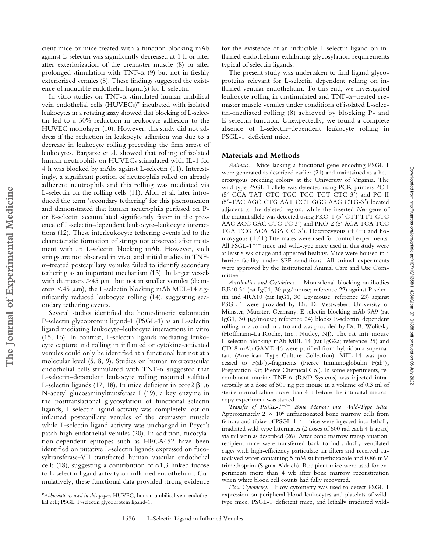cient mice or mice treated with a function blocking mAb against L-selectin was significantly decreased at 1 h or later after exteriorization of the cremaster muscle (8) or after prolonged stimulation with TNF- $\alpha$  (9) but not in freshly exteriorized venules (8). These findings suggested the existence of inducible endothelial ligand(s) for L-selectin.

In vitro studies on TNF- $\alpha$  stimulated human umbilical vein endothelial cells (HUVECs)\* incubated with isolated leukocytes in a rotating assay showed that blocking of L-selectin led to a 50% reduction in leukocyte adhesion to the HUVEC monolayer (10). However, this study did not address if the reduction in leukocyte adhesion was due to a decrease in leukocyte rolling preceding the firm arrest of leukocytes. Bargatze et al. showed that rolling of isolated human neutrophils on HUVECs stimulated with IL-1 for 4 h was blocked by mAbs against L-selectin (11). Interestingly, a significant portion of neutrophils rolled on already adherent neutrophils and this rolling was mediated via L-selectin on the rolling cells (11). Alon et al. later introduced the term 'secondary tethering' for this phenomenon and demonstrated that human neutrophils perfused on Por E-selectin accumulated significantly faster in the presence of L-selectin-dependent leukocyte–leukocyte interactions (12). These interleukocyte tethering events led to the characteristic formation of strings not observed after treatment with an L-selectin blocking mAb. However, such strings are not observed in vivo, and initial studies in TNF-  $\alpha$ -treated postcapillary venules failed to identify secondary tethering as an important mechanism (13). In larger vessels with diameters  $>45 \mu m$ , but not in smaller venules (diameters  $\leq$ 45  $\mu$ m), the L-selectin blocking mAb MEL-14 significantly reduced leukocyte rolling (14), suggesting secondary tethering events.

Several studies identified the homodimeric sialomucin P-selectin glycoprotein ligand-1 (PSGL-1) as an L-selectin ligand mediating leukocyte–leukocyte interactions in vitro (15, 16). In contrast, L-selectin ligands mediating leukocyte capture and rolling in inflamed or cytokine-activated venules could only be identified at a functional but not at a molecular level (5, 8, 9). Studies on human microvascular endothelial cells stimulated with TNF- $\alpha$  suggested that L-selectin–dependent leukocyte rolling required sulfated L-selectin ligands (17, 18). In mice deficient in core2  $\beta$ 1,6 N-acetyl glucosaminyltransferase I (19), a key enzyme in the posttranslational glycosylation of functional selectin ligands, L-selectin ligand activity was completely lost on inflamed postcapillary venules of the cremaster muscle while L-selectin ligand activity was unchanged in Peyer's patch high endothelial venules (20). In addition, fucosylation-dependent epitopes such as HECA452 have been identified on putative L-selectin ligands expressed on fucosyltransferase-VII transfected human vascular endothelial cells (18), suggesting a contribution of  $\alpha$ 1,3 linked fucose to L-selectin ligand activity on inflamed endothelium. Cumulatively, these functional data provided strong evidence

for the existence of an inducible L-selectin ligand on inflamed endothelium exhibiting glycosylation requirements typical of selectin ligands.

The present study was undertaken to find ligand glycoproteins relevant for L-selectin–dependent rolling on inflamed venular endothelium. To this end, we investigated leukocyte rolling in unstimulated and  $TNF-\alpha$ -treated cremaster muscle venules under conditions of isolated L-selectin-mediated rolling (8) achieved by blocking P- and E-selectin function. Unexpectedly, we found a complete absence of L-selectin–dependent leukocyte rolling in PSGL-1–deficient mice.

#### **Materials and Methods**

*Animals.* Mice lacking a functional gene encoding PSGL-1 were generated as described earlier (21) and maintained as a heterozygous breeding colony at the University of Virginia. The wild-type PSGL-1 allele was detected using PCR primers PC-I (5-CCA TAT CTC TGC TCC TGT CTC-3) and PC-II (5-TAC AGC CTG AAT CCT GGG AAG CTG-3) located adjacent to the deleted region, while the inserted *Neo*-gene of the mutant allele was detected using PKO-1 (5' CTT TTT GTC AAG ACC GAC CTG TC 3') and PKO-2 (5' AGA TCA TCC TGA TCG ACA AGA CC  $3'$ ). Heterozygous  $(+/-)$  and homozygous  $(+/+)$  littermates were used for control experiments. All PSGL-1<sup>-/-</sup> mice and wild-type mice used in this study were at least 8 wk of age and appeared healthy. Mice were housed in a barrier facility under SPF conditions. All animal experiments were approved by the Institutional Animal Care and Use Committee.

*Antibodies and Cytokines.* Monoclonal blocking antibodies RB40.34 (rat IgG1, 30 µg/mouse; reference 22) against P-selectin and  $4RA10$  (rat IgG1, 30  $\mu$ g/mouse; reference 23) against PSGL-1 were provided by Dr. D. Vestweber, University of Münster, Münster, Germany. E-selectin blocking mAb 9A9 (rat IgG1, 30 µg/mouse; reference 24) blocks E-selectin-dependent rolling in vivo and in vitro and was provided by Dr. B. Wolitzky (Hoffmann-La Roche, Inc., Nutley, NJ). The rat anti–mouse L-selectin blocking mAb MEL-14 (rat IgG2a; reference 25) and CD18 mAb GAME-46 were purified from hybridoma supernatant (American Type Culture Collection). MEL-14 was processed to  $F(ab')_2$ -fragments (Pierce Immunoglobulin  $F(ab')_2$ Preparation Kit; Pierce Chemical Co.). In some experiments, recombinant murine TNF- $\alpha$  (R&D Systems) was injected intrascrotally at a dose of 500 ng per mouse in a volume of 0.3 ml of sterile normal saline more than 4 h before the intravital microscopy experiment was started.

Transfer of PSGL-1<sup>-/-</sup> Bone Marrow into Wild-Type Mice. Approximately  $2 \times 10^6$  unfractionated bone marrow cells from femora and tibiae of PSGL-1<sup>-/-</sup> mice were injected into lethally irradiated wild-type littermates (2 doses of 600 rad each 4 h apart) via tail vein as described (26). After bone marrow transplantation, recipient mice were transferred back to individually ventilated cages with high-efficiency particulate air filters and received autoclaved water containing 5 mM sulfamethoxazole and 0.86 mM trimethoprim (Sigma-Aldrich). Recipient mice were used for experiments more than 4 wk after bone marrow reconstitution when white blood cell counts had fully recovered.

*Flow Cytometry.* Flow cytometry was used to detect PSGL-1 expression on peripheral blood leukocytes and platelets of wildtype mice, PSGL-1–deficient mice, and lethally irradiated wild-

<sup>\*</sup>*Abbreviations used in this paper:* HUVEC, human umbilical vein endothelial cell; PSGL, P-selectin glycoprotein ligand-1.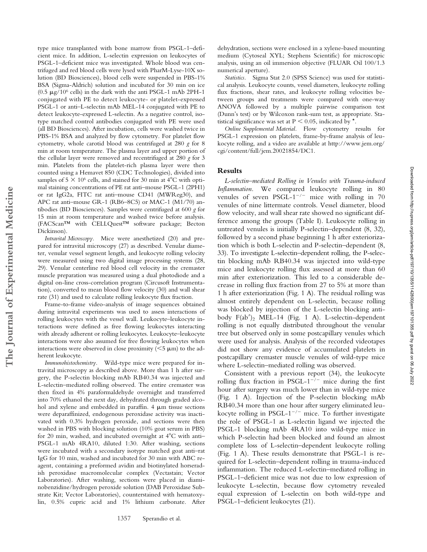type mice transplanted with bone marrow from PSGL-1–deficient mice. In addition, L-selectin expression on leukocytes of PSGL-1–deficient mice was investigated. Whole blood was centrifuged and red blood cells were lysed with PharM-Lyse-10X solution (BD Biosciences), blood cells were suspended in PBS-1% BSA (Sigma-Aldrich) solution and incubated for 30 min on ice (0.5  $\mu$ g/10<sup>6</sup> cells) in the dark with the anti PSGL-1 mAb 2PH-1 conjugated with PE to detect leukocyte- or platelet-expressed PSGL-1 or anti–L-selectin mAb MEL-14 conjugated with PE to detect leukocyte-expressed L-selectin. As a negative control, isotype matched control antibodies conjugated with PE were used (all BD Biosciences). After incubation, cells were washed twice in PBS-1% BSA and analyzed by flow cytometry. For platelet flow cytometry, whole carotid blood was centrifuged at 280 *g* for 8 min at room temperature. The plasma layer and upper portion of the cellular layer were removed and recentrifuged at 280 *g* for 3 min. Platelets from the platelet-rich plasma layer were then counted using a Hemavet 850 (CDC Technologies), divided into samples of 5  $\times$  10 $^6$  cells, and stained for 30 min at 4 $^{\circ}\textrm{C}$  with optimal staining concentrations of PE rat anti–mouse PSGL-1 (2PH1) or rat IgG2a, FITC rat anti–mouse CD41 (MWReg30), and APC rat anti–mouse GR-1 (RB6–8C5) or MAC-1 (M1/70) antibodies (BD Biosciences). Samples were centrifuged at 600 *g* for 15 min at room temperature and washed twice before analysis. (FACScan™ with CELLQuest™ software package; Becton Dickinson).

*Intravital Microscopy.* Mice were anesthetized (20) and prepared for intravital microscopy (27) as described. Venular diameter, venular vessel segment length, and leukocyte rolling velocity were measured using two digital image processing systems (28, 29). Venular centerline red blood cell velocity in the cremaster muscle preparation was measured using a dual photodiode and a digital on-line cross-correlation program (Circusoft Instrumentation), converted to mean blood flow velocity (30) and wall shear rate (31) and used to calculate rolling leukocyte flux fraction.

Frame-to-frame video-analysis of image sequences obtained during intravital experiments was used to assess interactions of rolling leukocytes with the vessel wall. Leukocyte–leukocyte interactions were defined as free flowing leukocytes interacting with already adherent or rolling leukocytes. Leukocyte–leukocyte interactions were also assumed for free flowing leukocytes when interactions were observed in close proximity ( $\leq$ 5  $\mu$ m) to the adherent leukocyte.

*Immunohistochemistry.* Wild-type mice were prepared for intravital microscopy as described above. More than 1 h after surgery, the P-selectin blocking mAb RB40.34 was injected and L-selectin–mediated rolling observed. The entire cremaster was then fixed in 4% paraformaldehyde overnight and transferred into 70% ethanol the next day, dehydrated through graded alcohol and xylene and embedded in paraffin.  $4 \mu m$  tissue sections were deparaffinized, endogenous peroxidase activity was inactivated with 0.3% hydrogen peroxide, and sections were then washed in PBS with blocking solution (10% goat serum in PBS) for 20 min, washed, and incubated overnight at  $4^{\circ}$ C with anti-PSGL-1 mAb 4RA10, diluted 1:30. After washing, sections were incubated with a secondary isotype matched goat anti–rat IgG for 10 min, washed and incubated for 30 min with ABC reagent, containing a preformed avidin and biotinylated horseradish peroxidase macromolecular complex (Vectastain; Vector Laboratories). After washing, sections were placed in diaminobenzidine/hydrogen peroxide solution (DAB Peroxidase Substrate Kit; Vector Laboratories), counterstained with hematoxylin, 0.5% cupric acid and 1% lithium carbonate. After dehydration, sections were enclosed in a xylene-based mounting medium (Cytoseal XYL; Stephens Scientific) for microscopic analysis, using an oil immersion objective (FLUAR Oil 100/1.3 numerical aperture).

*Statistics.* Sigma Stat 2.0 (SPSS Science) was used for statistical analysis. Leukocyte counts, vessel diameters, leukocyte rolling flux fractions, shear rates, and leukocyte rolling velocities between groups and treatments were compared with one-way ANOVA followed by a multiple pairwise comparison test (Dunn's test) or by Wilcoxon rank-sum test, as appropriate. Statistical significance was set at  $P \le 0.05$ , indicated by  $*$ .

*Online Supplemental Material.* Flow cytometry results for PSGL-1 expression on platelets, frame-by-frame analysis of leukocyte rolling, and a video are available at http://www.jem.org/ cgi/content/full/jem.20021854/DC1.

#### **Results**

*L-selectin–mediated Rolling in Venules with Trauma-induced Inflammation.* We compared leukocyte rolling in 80 venules of seven PSGL- $1^{-/-}$  mice with rolling in 70 venules of nine littermate controls. Vessel diameter, blood flow velocity, and wall shear rate showed no significant difference among the groups (Table I). Leukocyte rolling in untreated venules is initially P-selectin–dependent (8, 32), followed by a second phase beginning 1 h after exteriorization which is both L-selectin and P-selectin–dependent (8, 33). To investigate L-selectin–dependent rolling, the P-selectin blocking mAb RB40.34 was injected into wild-type mice and leukocyte rolling flux assessed at more than 60 min after exteriorization. This led to a considerable decrease in rolling flux fraction from 27 to 5% at more than 1 h after exteriorization (Fig. 1 A). The residual rolling was almost entirely dependent on L-selectin, because rolling was blocked by injection of the L-selectin blocking antibody  $F(ab')_2$  MEL-14 (Fig. 1 A). L-selectin-dependent rolling is not equally distributed throughout the venular tree but observed only in some postcapillary venules which were used for analysis. Analysis of the recorded videotapes did not show any evidence of accumulated platelets in postcapillary cremaster muscle venules of wild-type mice where L-selectin–mediated rolling was observed.

Downloaded from http://rupress.org/jenr/article-pdf/197/10/1355/1142800/jem197101355.pdf by guest on 06 July 2022 Downloaded from http://rupress.org/jem/article-pdf/197/10/1355/1142800/jem197101355.pdf by guest on 06 July 2022

Consistent with a previous report (34), the leukocyte rolling flux fraction in PSGL- $1^{-/-}$  mice during the first hour after surgery was much lower than in wild-type mice (Fig. 1 A). Injection of the P-selectin blocking mAb RB40.34 more than one hour after surgery eliminated leukocyte rolling in PSGL-1<sup>-/-</sup> mice. To further investigate the role of PSGL-1 as L-selectin ligand we injected the PSGL-1 blocking mAb 4RA10 into wild-type mice in which P-selectin had been blocked and found an almost complete loss of L-selectin–dependent leukocyte rolling (Fig. 1 A). These results demonstrate that PSGL-1 is required for L-selectin–dependent rolling in trauma-induced inflammation. The reduced L-selectin–mediated rolling in PSGL-1–deficient mice was not due to low expression of leukocyte L-selectin, because flow cytometry revealed equal expression of L-selectin on both wild-type and PSGL-1–deficient leukocytes (21).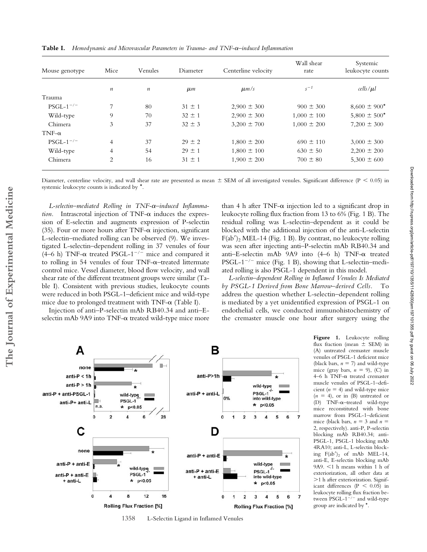| Mouse genotype | Mice             | Venules          | Diameter       | Centerline velocity | Wall shear<br>rate | Systemic<br>leukocyte counts |
|----------------|------------------|------------------|----------------|---------------------|--------------------|------------------------------|
|                | $\boldsymbol{n}$ | $\boldsymbol{n}$ | $\mu$ <i>m</i> | $\mu$ m/s           | $s^{-1}$           | cells/µl                     |
| Trauma         |                  |                  |                |                     |                    |                              |
| $PSGL-1^{-/-}$ | 7                | 80               | $31 \pm 1$     | $2.900 \pm 300$     | $900 \pm 300$      | $8,600 \pm 900^*$            |
| Wild-type      | 9                | 70               | $32 \pm 1$     | $2,900 \pm 300$     | $1,000 \pm 100$    | $5,800 \pm 500^*$            |
| Chimera        | 3                | 37               | $32 \pm 3$     | $3,200 \pm 700$     | $1,000 \pm 200$    | $7,200 \pm 300$              |
| $TNF-\alpha$   |                  |                  |                |                     |                    |                              |
| $PSGL-1^{-/-}$ | $\overline{4}$   | 37               | $29 \pm 2$     | $1,800 \pm 200$     | $690 \pm 110$      | $3,000 \pm 300$              |
| Wild-type      | 4                | 54               | $29 \pm 1$     | $1,800 \pm 100$     | $630 \pm 50$       | $2,200 \pm 200$              |
| Chimera        | 2                | 16               | $31 \pm 1$     | $1,900 \pm 200$     | $700 \pm 80$       | $5,300 \pm 600$              |

**Table I.** *Hemodynamic and Microvascular Parameters in Trauma- and TNF-–induced Inflammation*

Diameter, centerline velocity, and wall shear rate are presented as mean  $\pm$  SEM of all investigated venules. Significant difference (P < 0.05) in systemic leukocyte counts is indicated by \*.

*L-selectin–mediated Rolling in TNF-–induced Inflammation*. Intrascrotal injection of  $TNF-\alpha$  induces the expression of E-selectin and augments expression of P-selectin (35). Four or more hours after TNF- $\alpha$  injection, significant L-selectin–mediated rolling can be observed (9). We investigated L-selectin–dependent rolling in 37 venules of four (4–6 h) TNF- $\alpha$  treated PSGL-1<sup>-/-</sup> mice and compared it to rolling in 54 venules of four  $TNF-\alpha$ -treated littermate control mice. Vessel diameter, blood flow velocity, and wall shear rate of the different treatment groups were similar (Table I). Consistent with previous studies, leukocyte counts were reduced in both PSGL-1–deficient mice and wild-type mice due to prolonged treatment with  $TNF-\alpha$  (Table I).

than 4 h after TNF- $\alpha$  injection led to a significant drop in leukocyte rolling flux fraction from 13 to 6% (Fig. 1 B). The residual rolling was L-selectin–dependent as it could be blocked with the additional injection of the anti-L-selectin  $F(ab')$ <sub>2</sub> MEL-14 (Fig. 1 B). By contrast, no leukocyte rolling was seen after injecting anti–P-selectin mAb RB40.34 and anti-E-selectin mAb  $9A9$  into  $(4-6)$  h) TNF- $\alpha$  treated PSGL-1<sup>-/-</sup> mice (Fig. 1 B), showing that L-selectin-mediated rolling is also PSGL-1 dependent in this model.

*L-selectin–dependent Rolling in Inflamed Venules Is Mediated by PSGL-1 Derived from Bone Marrow–derived Cells.* To address the question whether L-selectin–dependent rolling is mediated by a yet unidentified expression of PSGL-1 on endothelial cells, we conducted immunohistochemistry of the cremaster muscle one hour after surgery using the

Injection of anti–P-selectin mAb RB40.34 and anti–Eselectin mAb 9A9 into  $TNF-\alpha$  treated wild-type mice more



**Figure 1.** Leukocyte rolling flux fraction (mean  $\pm$  SEM) in (A) untreated cremaster muscle venules of PSGL-1 deficient mice (black bars,  $n = 7$ ) and wild-type mice (gray bars,  $n = 9$ ), (C) in 4–6 h TNF- $\alpha$  treated cremaster muscle venules of PSGL-1–deficient  $(n = 4)$  and wild-type mice  $(n = 4)$ , or in (B) untreated or (D)  $TNF-\alpha$ -treated wild-type mice reconstituted with bone marrow from PSGL-1–deficient mice (black bars,  $n = 3$  and  $n =$ 2, respectively). anti-P, P-selectin blocking mAb RB40.34; anti-PSGL-1, PSGL-1 blocking mAb 4RA10; anti-L, L-selectin blocking  $F(ab')_2$  of mAb MEL-14, anti-E, E-selectin blocking mAb  $9A9. < 1 h$  means within 1 h of exteriorization, all other data at >1 h after exteriorization. Significant differences ( $P < 0.05$ ) in leukocyte rolling flux fraction between PSGL-1<sup>-/-</sup> and wild-type group are indicated by \*.

1358 L-Selectin Ligand in Inflamed Venules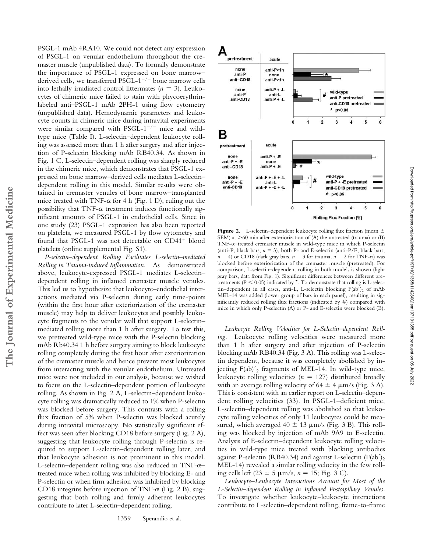PSGL-1 mAb 4RA10. We could not detect any expression of PSGL-1 on venular endothelium throughout the cremaster muscle (unpublished data). To formally demonstrate the importance of PSGL-1 expressed on bone marrow– derived cells, we transferred PSGL-1<sup>-/-</sup> bone marrow cells into lethally irradiated control littermates  $(n = 3)$ . Leukocytes of chimeric mice failed to stain with phycoerythrinlabeled anti–PSGL-1 mAb 2PH-1 using flow cytometry (unpublished data). Hemodynamic parameters and leukocyte counts in chimeric mice during intravital experiments were similar compared with PSGL- $1^{-/-}$  mice and wildtype mice (Table I). L-selectin–dependent leukocyte rolling was assessed more than 1 h after surgery and after injection of P-selectin blocking mAb RB40.34. As shown in Fig. 1 C, L-selectin–dependent rolling was sharply reduced in the chimeric mice, which demonstrates that PSGL-1 expressed on bone marrow–derived cells mediates L-selectin– dependent rolling in this model. Similar results were obtained in cremaster venules of bone marrow–transplanted mice treated with TNF- $\alpha$  for 4 h (Fig. 1 D), ruling out the possibility that TNF- $\alpha$  treatment induces functionally significant amounts of PSGL-1 in endothelial cells. Since in one study (23) PSGL-1 expression has also been reported on platelets, we measured PSGL-1 by flow cytometry and found that PSGL-1 was not detectable on  $CD41<sup>+</sup>$  blood platelets (online supplemental Fig. S1).

*P-selectin–dependent Rolling Facilitates L-selectin–mediated Rolling in Trauma-induced Inflammation.* As demonstrated above, leukocyte-expressed PSGL-1 mediates L-selectin– dependent rolling in inflamed cremaster muscle venules. This led us to hypothesize that leukocyte–endothelial interactions mediated via P-selectin during early time-points (within the first hour after exteriorization of the cremaster muscle) may help to deliver leukocytes and possibly leukocyte fragments to the venular wall that support L-selectin– mediated rolling more than 1 h after surgery. To test this, we pretreated wild-type mice with the P-selectin blocking mAb Rb40.34 1 h before surgery aiming to block leukocyte rolling completely during the first hour after exteriorization of the cremaster muscle and hence prevent most leukocytes from interacting with the venular endothelium. Untreated mice were not included in our analysis, because we wished to focus on the L-selectin–dependent portion of leukocyte rolling. As shown in Fig. 2 A, L-selectin–dependent leukocyte rolling was dramatically reduced to 1% when P-selectin was blocked before surgery. This contrasts with a rolling flux fraction of 5% when P-selectin was blocked acutely during intravital microscopy. No statistically significant effect was seen after blocking CD18 before surgery (Fig. 2 A), suggesting that leukocyte rolling through P-selectin is required to support L-selectin–dependent rolling later, and that leukocyte adhesion is not prominent in this model. L-selectin–dependent rolling was also reduced in TNF- $\alpha$ – treated mice when rolling was inhibited by blocking E- and P-selectin or when firm adhesion was inhibited by blocking CD18 integrins before injection of TNF- $\alpha$  (Fig. 2 B), suggesting that both rolling and firmly adherent leukocytes contribute to later L-selectin–dependent rolling.



**Figure 2.** L-selectin–dependent leukocyte rolling flux fraction (mean  $\pm$ SEM) at  $>60$  min after exteriorization of (A) the untreated (trauma) or (B)  $TNF-\alpha$ -treated cremaster muscle in wild-type mice in which P-selectin (anti-P, black bars,  $n = 3$ ), both P- and E-selectin (anti-P/E, black bars,  $n = 4$ ) or CD18 (dark gray bars,  $n = 3$  for trauma,  $n = 2$  for TNF- $\alpha$ ) was blocked before exteriorization of the cremaster muscle (pretreated). For comparison, L-selectin–dependent rolling in both models is shown (light gray bars, data from Fig. 1). Significant differences between different pretreatments ( $P < 0.05$ ) indicated by  $*$ . To demonstrate that rolling is L-selectin–dependent in all cases, anti-L, L-selectin blocking  $F(ab')_2$  of mAb MEL-14 was added (lower group of bars in each panel), resulting in significantly reduced rolling flux fractions (indicated by #) compared with mice in which only P-selectin (A) or P- and E-selectin were blocked (B).

Downloaded from http://rupress.org/jem/article-pdf/197/10/1355/1142800/jem197101355.pdf by guest on 06 July 2022

Downloaded from http://rupress.org/jem/article-pdf/197/10/1355/1142800/jem197101355.pdf by guest on 06 July 2022

*Leukocyte Rolling Velocities for L-Selectin–dependent Rolling.* Leukocyte rolling velocities were measured more than 1 h after surgery and after injection of P-selectin blocking mAb RB40.34 (Fig. 3 A). This rolling was L-selectin dependent, because it was completely abolished by injecting  $F(ab)'_2$  fragments of MEL-14. In wild-type mice, leukocyte rolling velocities  $(n = 127)$  distributed broadly with an average rolling velocity of  $64 \pm 4 \mu m/s$  (Fig. 3 A). This is consistent with an earlier report on L-selectin–dependent rolling velocities (33). In PSGL-1–deficient mice, L-selectin–dependent rolling was abolished so that leukocyte rolling velocities of only 11 leukocytes could be measured, which averaged  $40 \pm 13 \ \mu m/s$  (Fig. 3 B). This rolling was blocked by injection of mAb 9A9 to E-selectin. Analysis of E-selectin–dependent leukocyte rolling velocities in wild-type mice treated with blocking antibodies against P-selectin (RB40.34) and against L-selectin  $(F(ab))_2$ MEL-14) revealed a similar rolling velocity in the few rolling cells left  $(23 \pm 5 \mu \text{m/s}, n = 15; \text{Fig. 3 C}).$ 

*Leukocyte–Leukocyte Interactions Account for Most of the L-Selectin–dependent Rolling in Inflamed Postcapillary Venules.* To investigate whether leukocyte–leukocyte interactions contribute to L-selectin–dependent rolling, frame-to-frame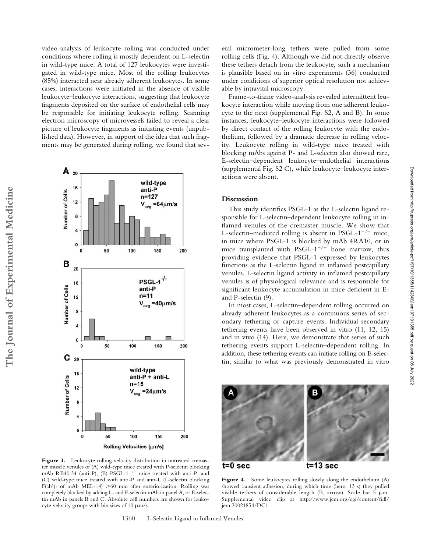video-analysis of leukocyte rolling was conducted under conditions where rolling is mostly dependent on L-selectin in wild-type mice. A total of 127 leukocytes were investigated in wild-type mice. Most of the rolling leukocytes (85%) interacted near already adherent leukocytes. In some cases, interactions were initiated in the absence of visible leukocyte–leukocyte interactions, suggesting that leukocyte fragments deposited on the surface of endothelial cells may be responsible for initiating leukocyte rolling. Scanning electron microscopy of microvessels failed to reveal a clear picture of leukocyte fragments as initiating events (unpublished data). However, in support of the idea that such fragments may be generated during rolling, we found that sev-



Figure 3. Leukocyte rolling velocity distribution in untreated cremaster muscle venules of (A) wild-type mice treated with P-selectin blocking mAb RB40.34 (anti-P), (B) PSGL-1<sup>-/-</sup> mice treated with anti-P, and (C) wild-type mice treated with anti-P and anti-L (L-selectin blocking F(ab')<sub>2</sub> of mAb MEL-14) >60 min after exteriorization. Rolling was completely blocked by adding L- and E-selectin mAb in panel A, or E-selectin mAb in panels B and C. Absolute cell numbers are shown for leukocyte velocity groups with bin sizes of 10  $\mu$ m/s.

eral micrometer-long tethers were pulled from some rolling cells (Fig. 4). Although we did not directly observe these tethers detach from the leukocyte, such a mechanism is plausible based on in vitro experiments (36) conducted under conditions of superior optical resolution not achievable by intravital microscopy.

Frame-to-frame video-analysis revealed intermittent leukocyte interaction while moving from one adherent leukocyte to the next (supplemental Fig. S2, A and B). In some instances, leukocyte–leukocyte interactions were followed by direct contact of the rolling leukocyte with the endothelium, followed by a dramatic decrease in rolling velocity. Leukocyte rolling in wild-type mice treated with blocking mAbs against P- and L-selectin also showed rare, E-selectin–dependent leukocyte–endothelial interactions (supplemental Fig. S2 C), while leukocyte–leukocyte interactions were absent.

## **Discussion**

This study identifies PSGL-1 as the L-selectin ligand responsible for L-selectin–dependent leukocyte rolling in inflamed venules of the cremaster muscle. We show that L-selectin–mediated rolling is absent in PSGL- $1^{-/-}$  mice, in mice where PSGL-1 is blocked by mAb 4RA10, or in mice transplanted with PSGL- $1^{-/-}$  bone marrow, thus providing evidence that PSGL-1 expressed by leukocytes functions as the L-selectin ligand in inflamed postcapillary venules. L-selectin ligand activity in inflamed postcapillary venules is of physiological relevance and is responsible for significant leukocyte accumulation in mice deficient in Eand P-selectin (9).

Downloaded from http://rupress.org/jem/article-pdf/197/10/1355/1142800/jem197101355.pdf by guest on 06 July 2022 Downloaded from http://rupress.org/jem/article-pdf/197/10/1355/1142800/jem197101355.pdf by guest on 06 July 2022

In most cases, L-selectin–dependent rolling occurred on already adherent leukocytes as a continuous series of secondary tethering or capture events. Individual secondary tethering events have been observed in vitro (11, 12, 15) and in vivo (14). Here, we demonstrate that series of such tethering events support L-selectin–dependent rolling. In addition, these tethering events can initiate rolling on E-selectin, similar to what was previously demonstrated in vitro



Figure 4. Some leukocytes rolling slowly along the endothelium (A) showed transient adhesion, during which time (here, 13 s) they pulled visible tethers of considerable length (B, arrow). Scale bar  $5 \mu m$ . Supplemental video clip at http://www.jem.org/cgi/content/full/ jem.20021854/DC1.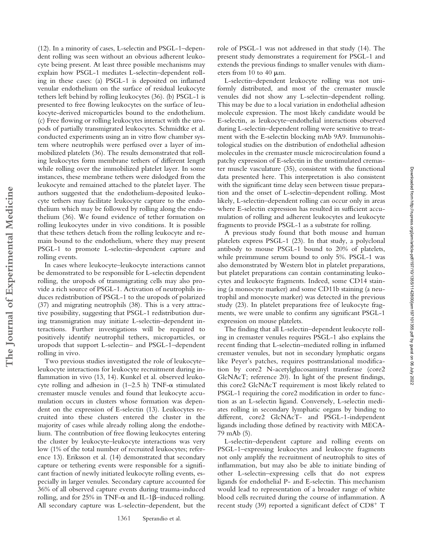(12). In a minority of cases, L-selectin and PSGL-1–dependent rolling was seen without an obvious adherent leukocyte being present. At least three possible mechanisms may explain how PSGL-1 mediates L-selectin–dependent rolling in these cases: (a) PSGL-1 is deposited on inflamed venular endothelium on the surface of residual leukocyte tethers left behind by rolling leukocytes (36). (b) PSGL-1 is presented to free flowing leukocytes on the surface of leukocyte-derived microparticles bound to the endothelium. (c) Free flowing or rolling leukocytes interact with the uropods of partially transmigrated leukocytes. Schmidtke et al. conducted experiments using an in vitro flow chamber system where neutrophils were perfused over a layer of immobilized platelets (36). The results demonstrated that rolling leukocytes form membrane tethers of different length while rolling over the immobilized platelet layer. In some instances, these membrane tethers were dislodged from the leukocyte and remained attached to the platelet layer. The authors suggested that the endothelium-deposited leukocyte tethers may facilitate leukocyte capture to the endothelium which may be followed by rolling along the endothelium (36). We found evidence of tether formation on rolling leukocytes under in vivo conditions. It is possible that these tethers detach from the rolling leukocyte and remain bound to the endothelium, where they may present PSGL-1 to promote L-selectin–dependent capture and rolling events.

In cases where leukocyte–leukocyte interactions cannot be demonstrated to be responsible for L-selectin dependent rolling, the uropods of transmigrating cells may also provide a rich source of PSGL-1. Activation of neutrophils induces redistribution of PSGL-1 to the uropods of polarized (37) and migrating neutrophils (38). This is a very attractive possibility, suggesting that PSGL-1 redistribution during transmigration may initiate L-selectin–dependent interactions. Further investigations will be required to positively identify neutrophil tethers, microparticles, or uropods that support L-selectin– and PSGL-1–dependent rolling in vivo.

**The Journal of Experimental Medicine**

The Journal of Experimental Medicine

Two previous studies investigated the role of leukocyte– leukocyte interactions for leukocyte recruitment during inflammation in vivo (13, 14). Kunkel et al. observed leukocyte rolling and adhesion in  $(1-2.5 \text{ h})$  TNF- $\alpha$  stimulated cremaster muscle venules and found that leukocyte accumulation occurs in clusters whose formation was dependent on the expression of E-selectin (13). Leukocytes recruited into these clusters entered the cluster in the majority of cases while already rolling along the endothelium. The contribution of free flowing leukocytes entering the cluster by leukocyte–leukocyte interactions was very low (1% of the total number of recruited leukocytes; reference 13). Eriksson et al. (14) demonstrated that secondary capture or tethering events were responsible for a significant fraction of newly initiated leukocyte rolling events, especially in larger venules. Secondary capture accounted for 36% of all observed capture events during trauma-induced rolling, and for 25% in TNF- $\alpha$  and IL-1 $\beta$ -induced rolling. All secondary capture was L-selectin–dependent, but the

role of PSGL-1 was not addressed in that study (14). The present study demonstrates a requirement for PSGL-1 and extends the previous findings to smaller venules with diameters from  $10$  to  $40 \mu m$ .

L-selectin–dependent leukocyte rolling was not uniformly distributed, and most of the cremaster muscle venules did not show any L-selectin–dependent rolling. This may be due to a local variation in endothelial adhesion molecule expression. The most likely candidate would be E-selectin, as leukocyte–endothelial interactions observed during L-selectin–dependent rolling were sensitive to treatment with the E-selectin blocking mAb 9A9. Immunohistological studies on the distribution of endothelial adhesion molecules in the cremaster muscle microcirculation found a patchy expression of E-selectin in the unstimulated cremaster muscle vasculature (35), consistent with the functional data presented here. This interpretation is also consistent with the significant time delay seen between tissue preparation and the onset of L-selectin–dependent rolling. Most likely, L-selectin–dependent rolling can occur only in areas where E-selectin expression has resulted in sufficient accumulation of rolling and adherent leukocytes and leukocyte fragments to provide PSGL-1 as a substrate for rolling.

A previous study found that both mouse and human platelets express PSGL-1 (23). In that study, a polyclonal antibody to mouse PSGL-1 bound to 20% of platelets, while preimmune serum bound to only 5%. PSGL-1 was also demonstrated by Western blot in platelet preparations, but platelet preparations can contain contaminating leukocytes and leukocyte fragments. Indeed, some CD14 staining (a monocyte marker) and some CD11b staining (a neutrophil and monocyte marker) was detected in the previous study (23). In platelet preparations free of leukocyte fragments, we were unable to confirm any significant PSGL-1 expression on mouse platelets.

The finding that all L-selectin–dependent leukocyte rolling in cremaster venules requires PSGL-1 also explains the recent finding that L-selectin–mediated rolling in inflamed cremaster venules, but not in secondary lymphatic organs like Peyer's patches, requires posttranslational modification by core2 N-acetylglucosaminyl transferase (core2 GlcNAcT; reference 20). In light of the present findings, this core2 GlcNAcT requirement is most likely related to PSGL-1 requiring the core2 modification in order to function as an L-selectin ligand. Conversely, L-selectin mediates rolling in secondary lymphatic organs by binding to different, core2 GlcNAcT- and PSGL-1-independent ligands including those defined by reactivity with MECA-79 mAb (5).

L-selectin–dependent capture and rolling events on PSGL-1–expressing leukocytes and leukocyte fragments not only amplify the recruitment of neutrophils to sites of inflammation, but may also be able to initiate binding of other L-selectin–expressing cells that do not express ligands for endothelial P- and E-selectin. This mechanism would lead to representation of a broader range of white blood cells recruited during the course of inflammation. A recent study (39) reported a significant defect of  $CD8<sup>+</sup>$  T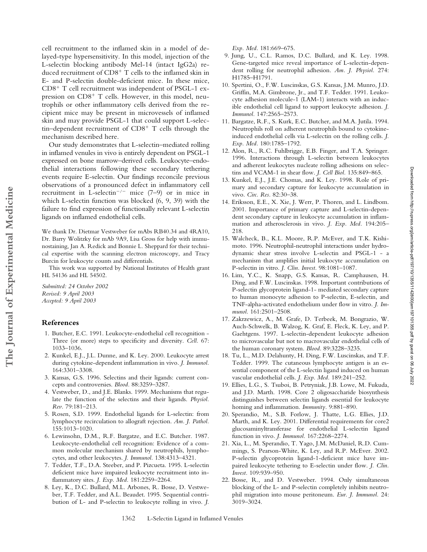cell recruitment to the inflamed skin in a model of delayed-type hypersensitivity. In this model, injection of the L-selectin blocking antibody Mel-14 (intact IgG2a) reduced recruitment of CD8<sup>+</sup> T cells to the inflamed skin in E- and P-selectin double-deficient mice. In these mice,  $CD8<sup>+</sup>$  T cell recruitment was independent of PSGL-1 expression on  $CD8<sup>+</sup>$  T cells. However, in this model, neutrophils or other inflammatory cells derived from the recipient mice may be present in microvessels of inflamed skin and may provide PSGL-1 that could support L-selectin–dependent recruitment of  $CD8<sup>+</sup>$  T cells through the mechanism described here.

Our study demonstrates that L-selectin–mediated rolling in inflamed venules in vivo is entirely dependent on PSGL-1 expressed on bone marrow–derived cells. Leukocyte–endothelial interactions following these secondary tethering events require E-selectin. Our findings reconcile previous observations of a pronounced defect in inflammatory cell recruitment in L-selectin<sup>-/-</sup> mice (7–9) or in mice in which L-selectin function was blocked (6, 9, 39) with the failure to find expression of functionally relevant L-selectin ligands on inflamed endothelial cells.

We thank Dr. Dietmar Vestweber for mAbs RB40.34 and 4RA10, Dr. Barry Wolitzky for mAb 9A9, Lisa Gross for help with immunostaining, Jan A. Redick and Bonnie L. Sheppard for their technical expertise with the scanning electron microscopy, and Tracy Burcin for leukocyte counts and differentials.

This work was supported by National Institutes of Health grant HL 54136 and HL 54502.

*Submitted: 24 October 2002 Revised: 9 April 2003 Accepted: 9 April 2003*

### **References**

- 1. Butcher, E.C. 1991. Leukocyte-endothelial cell recognition Three (or more) steps to specificity and diversity. *Cell.* 67: 1033–1036.
- 2. Kunkel, E.J., J.L. Dunne, and K. Ley. 2000. Leukocyte arrest during cytokine-dependent inflammation in vivo. *J. Immunol.* 164:3301–3308.
- 3. Kansas, G.S. 1996. Selectins and their ligands: current concepts and controversies. *Blood.* 88:3259–3287.
- 4. Vestweber, D., and J.E. Blanks. 1999. Mechanisms that regulate the function of the selectins and their ligands. *Physiol. Rev.* 79:181–213.
- 5. Rosen, S.D. 1999. Endothelial ligands for L-selectin: from lymphocyte recirculation to allograft rejection. *Am. J. Pathol.* 155:1013–1020.
- 6. Lewinsohn, D.M., R.F. Bargatze, and E.C. Butcher. 1987. Leukocyte-endothelial cell recognition: Evidence of a common molecular mechanism shared by neutrophils, lymphocytes, and other leukocytes. *J. Immunol.* 138:4313–4321.
- 7. Tedder, T.F., D.A. Steeber, and P. Pizcueta. 1995. L-selectin deficient mice have impaired leukocyte recruitment into inflammatory sites. *J. Exp. Med.* 181:2259–2264.
- 8. Ley, K., D.C. Bullard, M.L. Arbones, R. Bosse, D. Vestweber, T.F. Tedder, and A.L. Beaudet. 1995. Sequential contribution of L- and P-selectin to leukocyte rolling in vivo. *J.*

*Exp. Med.* 181:669–675.

- 9. Jung, U., C.L. Ramos, D.C. Bullard, and K. Ley. 1998. Gene-targeted mice reveal importance of L-selectin-dependent rolling for neutrophil adhesion. *Am. J. Physiol.* 274: H1785–H1791.
- 10. Spertini, O., F.W. Luscinskas, G.S. Kansas, J.M. Munro, J.D. Griffin, M.A. Gimbrone, Jr., and T.F. Tedder. 1991. Leukocyte adhesion molecule-1 (LAM-1) interacts with an inducible endothelial cell ligand to support leukocyte adhesion. *J. Immunol.* 147:2565–2573.
- 11. Bargatze, R.F., S. Kurk, E.C. Butcher, and M.A. Jutila. 1994. Neutrophils roll on adherent neutrophils bound to cytokineinduced endothelial cells via L-selectin on the rolling cells. *J. Exp. Med.* 180:1785–1792.
- 12. Alon, R., R.C. Fuhlbrigge, E.B. Finger, and T.A. Springer. 1996. Interactions through L-selectin between leukocytes and adherent leukocytes nucleate rolling adhesions on selectins and VCAM-1 in shear flow. *J. Cell Biol.* 135:849–865.
- 13. Kunkel, E.J., J.E. Chomas, and K. Ley. 1998. Role of primary and secondary capture for leukocyte accumulation in vivo. *Circ. Res.* 82:30–38.
- 14. Eriksson, E.E., X. Xie, J. Werr, P. Thoren, and L. Lindbom. 2001. Importance of primary capture and L-selectin-dependent secondary capture in leukocyte accumulation in inflammation and atherosclerosis in vivo. *J. Exp. Med.* 194:205– 218.
- 15. Walcheck, B., K.L. Moore, R.P. McEver, and T.K. Kishimoto. 1996. Neutrophil-neutrophil interactions under hydrodynamic shear stress involve L-selectin and PSGL-1 - a mechanism that amplifies initial leukocyte accumulation on P-selectin in vitro. *J. Clin. Invest.* 98:1081–1087.
- 16. Lim, Y.C., K. Snapp, G.S. Kansas, R. Camphausen, H. Ding, and F.W. Luscinskas. 1998. Important contributions of P-selectin glycoprotein ligand-1- mediated secondary capture to human monocyte adhesion to P-selectin, E-selectin, and TNF-alpha-activated endothelium under flow in vitro. *J. Immunol.* 161:2501–2508.

Downloaded from http://rupress.org/jenr/article-pdf/197/10/1355/1142800/jenr197101355.pdf by guest on 06 July 2022 Downloaded from http://rupress.org/jem/article-pdf/197/10/1355/1142800/jem197101355.pdf by guest on 06 July 2022

- 17. Zakrzewicz, A., M. Grafe, D. Terbeek, M. Bongrazio, W. Auch-Schwelk, B. Walzog, K. Graf, E. Fleck, K. Ley, and P. Gaehtgens. 1997. L-selectin-dependent leukocyte adhesion to microvascular but not to macrovascular endothelial cells of the human coronary system. *Blood.* 89:3228–3235.
- 18. Tu, L., M.D. Delahunty, H. Ding, F.W. Luscinskas, and T.F. Tedder. 1999. The cutaneous lymphocyte antigen is an essential component of the L-selectin ligand induced on human vascular endothelial cells. *J. Exp. Med.* 189:241–252.
- 19. Ellies, L.G., S. Tsuboi, B. Petryniak, J.B. Lowe, M. Fukuda, and J.D. Marth. 1998. Core 2 oligosaccharide biosynthesis distinguishes between selectin ligands essential for leukocyte homing and inflammation. *Immunity.* 9:881–890.
- 20. Sperandio, M., S.B. Forlow, J. Thatte, L.G. Ellies, J.D. Marth, and K. Ley. 2001. Differential requirements for core2 glucosaminyltransferase for endothelial L-selectin ligand function in vivo. *J. Immunol.* 167:2268–2274.
- 21. Xia, L., M. Sperandio, T. Yago, J.M. McDaniel, R.D. Cummings, S. Pearson-White, K. Ley, and R.P. McEver. 2002. P-selectin glycoprotein ligand-1-deficient mice have impaired leukocyte tethering to E-selectin under flow. *J. Clin. Invest.* 109:939–950.
- 22. Bosse, R., and D. Vestweber. 1994. Only simultaneous blocking of the L- and P-selectin completely inhibits neutrophil migration into mouse peritoneum. *Eur. J. Immunol.* 24: 3019–3024.